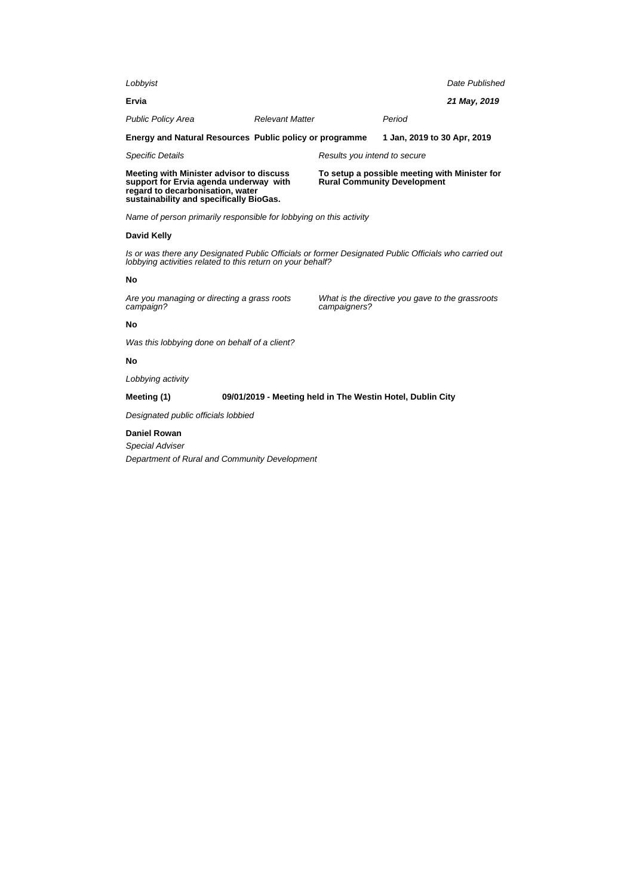| Lobbyist                                                                                                                                                          |                        |                                                                                     |                             | Date Published |
|-------------------------------------------------------------------------------------------------------------------------------------------------------------------|------------------------|-------------------------------------------------------------------------------------|-----------------------------|----------------|
| Ervia                                                                                                                                                             |                        |                                                                                     |                             | 21 May, 2019   |
| <b>Public Policy Area</b>                                                                                                                                         | <b>Relevant Matter</b> |                                                                                     | Period                      |                |
| Energy and Natural Resources Public policy or programme                                                                                                           |                        |                                                                                     | 1 Jan, 2019 to 30 Apr, 2019 |                |
| <b>Specific Details</b>                                                                                                                                           |                        | Results you intend to secure                                                        |                             |                |
| Meeting with Minister advisor to discuss<br>support for Ervia agenda underway with<br>regard to decarbonisation, water<br>sustainability and specifically BioGas. |                        | To setup a possible meeting with Minister for<br><b>Rural Community Development</b> |                             |                |
| Name of person primarily responsible for lobbying on this activity                                                                                                |                        |                                                                                     |                             |                |

### **David Kelly**

Is or was there any Designated Public Officials or former Designated Public Officials who carried out lobbying activities related to this return on your behalf?

#### **No**

Are you managing or directing a grass roots campaign?

What is the directive you gave to the grassroots campaigners?

## **No**

Was this lobbying done on behalf of a client?

# **No**

Lobbying activity

# **Meeting (1) 09/01/2019 - Meeting held in The Westin Hotel, Dublin City**

Designated public officials lobbied

#### **Daniel Rowan**

Special Adviser Department of Rural and Community Development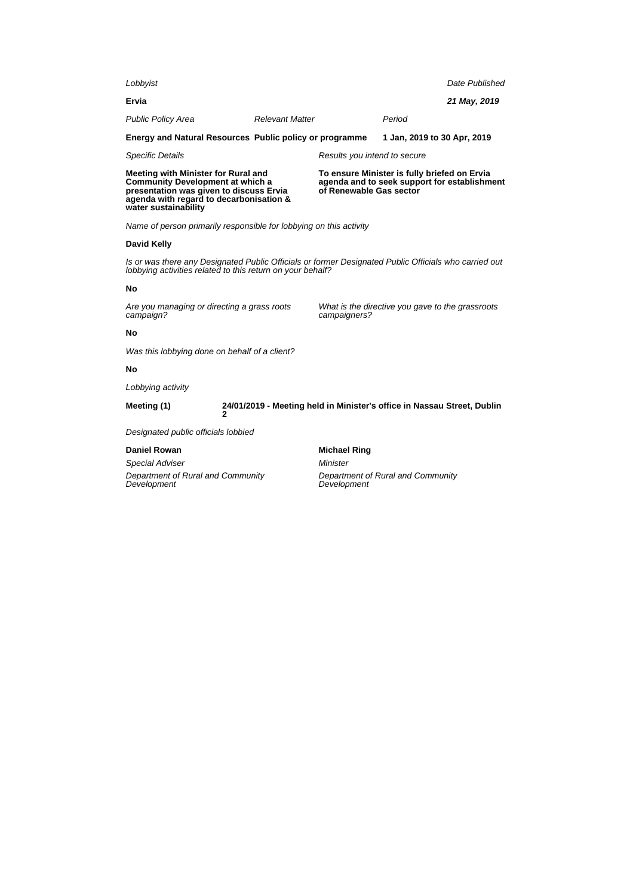| Lobbyist                                                                                                                                                                                     |   |                                                                                                                         |                                                                         |                             | Date Published |
|----------------------------------------------------------------------------------------------------------------------------------------------------------------------------------------------|---|-------------------------------------------------------------------------------------------------------------------------|-------------------------------------------------------------------------|-----------------------------|----------------|
| Ervia                                                                                                                                                                                        |   |                                                                                                                         |                                                                         |                             | 21 May, 2019   |
| <b>Public Policy Area</b>                                                                                                                                                                    |   | <b>Relevant Matter</b>                                                                                                  |                                                                         | Period                      |                |
| Energy and Natural Resources Public policy or programme                                                                                                                                      |   |                                                                                                                         |                                                                         | 1 Jan, 2019 to 30 Apr, 2019 |                |
| <b>Specific Details</b>                                                                                                                                                                      |   |                                                                                                                         | Results you intend to secure                                            |                             |                |
| Meeting with Minister for Rural and<br><b>Community Development at which a</b><br>presentation was given to discuss Ervia<br>agenda with regard to decarbonisation &<br>water sustainability |   | To ensure Minister is fully briefed on Ervia<br>agenda and to seek support for establishment<br>of Renewable Gas sector |                                                                         |                             |                |
| Name of person primarily responsible for lobbying on this activity                                                                                                                           |   |                                                                                                                         |                                                                         |                             |                |
| <b>David Kelly</b>                                                                                                                                                                           |   |                                                                                                                         |                                                                         |                             |                |
| Is or was there any Designated Public Officials or former Designated Public Officials who carried out<br>lobbying activities related to this return on your behalf?                          |   |                                                                                                                         |                                                                         |                             |                |
| No                                                                                                                                                                                           |   |                                                                                                                         |                                                                         |                             |                |
| Are you managing or directing a grass roots<br>campaign?                                                                                                                                     |   |                                                                                                                         | What is the directive you gave to the grassroots<br>campaigners?        |                             |                |
| No                                                                                                                                                                                           |   |                                                                                                                         |                                                                         |                             |                |
| Was this lobbying done on behalf of a client?                                                                                                                                                |   |                                                                                                                         |                                                                         |                             |                |
| No                                                                                                                                                                                           |   |                                                                                                                         |                                                                         |                             |                |
| Lobbying activity                                                                                                                                                                            |   |                                                                                                                         |                                                                         |                             |                |
| Meeting (1)                                                                                                                                                                                  | 2 |                                                                                                                         | 24/01/2019 - Meeting held in Minister's office in Nassau Street, Dublin |                             |                |
| Designated public officials lobbied                                                                                                                                                          |   |                                                                                                                         |                                                                         |                             |                |
| <b>Daniel Rowan</b>                                                                                                                                                                          |   |                                                                                                                         | <b>Michael Ring</b>                                                     |                             |                |
| Special Adviser                                                                                                                                                                              |   |                                                                                                                         | Minister                                                                |                             |                |
| Department of Rural and Community<br>Development                                                                                                                                             |   |                                                                                                                         | Department of Rural and Community<br>Development                        |                             |                |
|                                                                                                                                                                                              |   |                                                                                                                         |                                                                         |                             |                |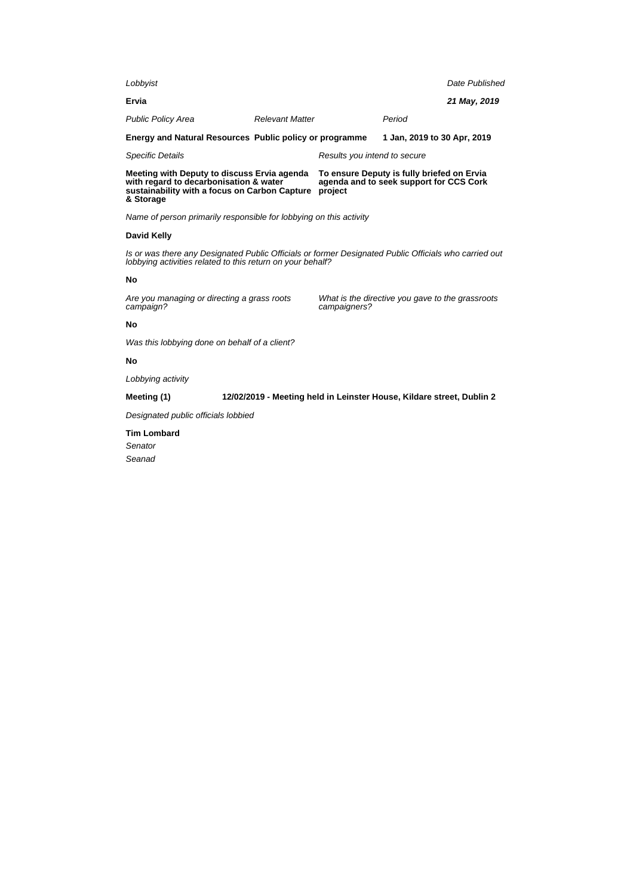| Lobbyist                                                                                                                                            |                        |                              |                                                                                       | Date Published |
|-----------------------------------------------------------------------------------------------------------------------------------------------------|------------------------|------------------------------|---------------------------------------------------------------------------------------|----------------|
| Ervia                                                                                                                                               |                        |                              |                                                                                       | 21 May, 2019   |
| <b>Public Policy Area</b>                                                                                                                           | <b>Relevant Matter</b> |                              | Period                                                                                |                |
| Energy and Natural Resources Public policy or programme                                                                                             |                        |                              | 1 Jan, 2019 to 30 Apr, 2019                                                           |                |
| <b>Specific Details</b>                                                                                                                             |                        | Results you intend to secure |                                                                                       |                |
| Meeting with Deputy to discuss Ervia agenda<br>with regard to decarbonisation & water<br>sustainability with a focus on Carbon Capture<br>& Storage |                        | project                      | To ensure Deputy is fully briefed on Ervia<br>agenda and to seek support for CCS Cork |                |
| Name of person primarily responsible for lobbying on this activity                                                                                  |                        |                              |                                                                                       |                |
| David Kelly                                                                                                                                         |                        |                              |                                                                                       |                |

Is or was there any Designated Public Officials or former Designated Public Officials who carried out lobbying activities related to this return on your behalf?

### **No**

Are you managing or directing a grass roots campaign?

What is the directive you gave to the grassroots campaigners?

## **No**

Was this lobbying done on behalf of a client?

## **No**

Lobbying activity

**Meeting (1) 12/02/2019 - Meeting held in Leinster House, Kildare street, Dublin 2**

Designated public officials lobbied

**Tim Lombard** Senator Seanad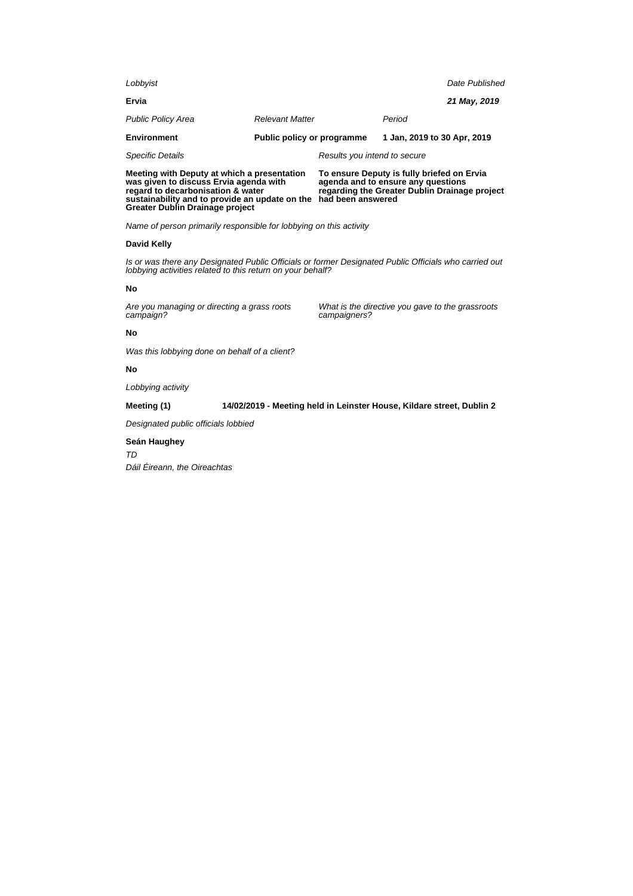| Meeting with Deputy at which a presentation<br>was given to discuss Ervia agenda with<br>regard to decarbonisation & water<br>sustainability and to provide an update on the<br>Greater Dublin Drainage project |                                   | To ensure Deputy is fully briefed on Ervia<br>agenda and to ensure any questions<br>regarding the Greater Dublin Drainage project<br>had been answered |                             |                |
|-----------------------------------------------------------------------------------------------------------------------------------------------------------------------------------------------------------------|-----------------------------------|--------------------------------------------------------------------------------------------------------------------------------------------------------|-----------------------------|----------------|
| <b>Specific Details</b>                                                                                                                                                                                         |                                   | Results you intend to secure                                                                                                                           |                             |                |
| <b>Environment</b>                                                                                                                                                                                              | <b>Public policy or programme</b> |                                                                                                                                                        | 1 Jan. 2019 to 30 Apr, 2019 |                |
| <b>Public Policy Area</b>                                                                                                                                                                                       | <b>Relevant Matter</b>            |                                                                                                                                                        | Period                      |                |
| Ervia                                                                                                                                                                                                           |                                   |                                                                                                                                                        |                             | 21 May, 2019   |
| Lobbyist                                                                                                                                                                                                        |                                   |                                                                                                                                                        |                             | Date Published |
|                                                                                                                                                                                                                 |                                   |                                                                                                                                                        |                             |                |

Name of person primarily responsible for lobbying on this activity

# **David Kelly**

Is or was there any Designated Public Officials or former Designated Public Officials who carried out lobbying activities related to this return on your behalf?

# **No**

Are you managing or directing a grass roots campaign?

What is the directive you gave to the grassroots campaigners?

# **No**

Was this lobbying done on behalf of a client?

### **No**

Lobbying activity

# **Meeting (1) 14/02/2019 - Meeting held in Leinster House, Kildare street, Dublin 2**

Designated public officials lobbied

### **Seán Haughey**

TD

Dáil Éireann, the Oireachtas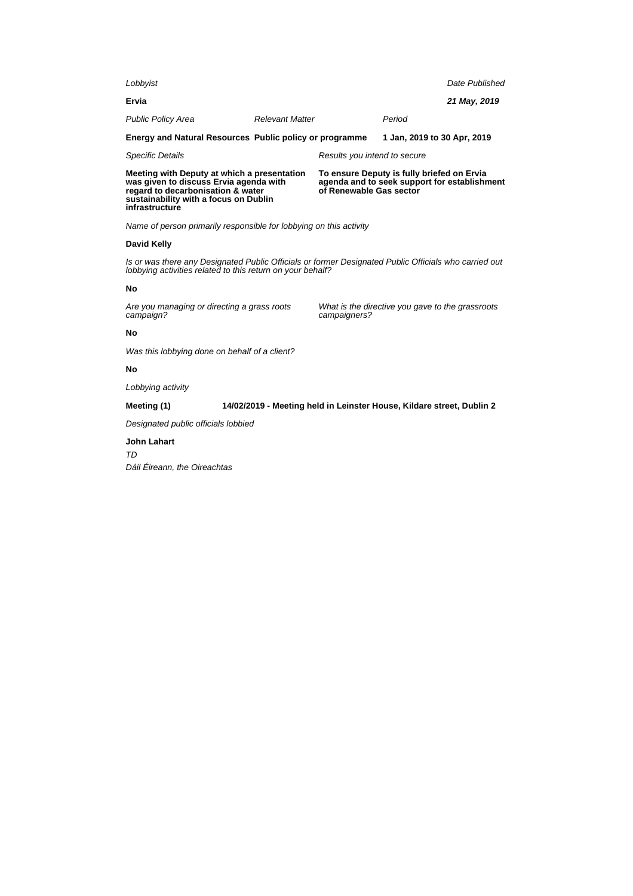| Lobbyist                                                                                                                                                                              |                                                                       |                                                                                                                       |                                                  | Date Published |
|---------------------------------------------------------------------------------------------------------------------------------------------------------------------------------------|-----------------------------------------------------------------------|-----------------------------------------------------------------------------------------------------------------------|--------------------------------------------------|----------------|
| Ervia                                                                                                                                                                                 |                                                                       |                                                                                                                       |                                                  | 21 May, 2019   |
| <b>Public Policy Area</b>                                                                                                                                                             | <b>Relevant Matter</b>                                                |                                                                                                                       | Period                                           |                |
| Energy and Natural Resources Public policy or programme                                                                                                                               |                                                                       |                                                                                                                       | 1 Jan, 2019 to 30 Apr, 2019                      |                |
| <b>Specific Details</b>                                                                                                                                                               |                                                                       | Results you intend to secure                                                                                          |                                                  |                |
| Meeting with Deputy at which a presentation<br>was given to discuss Ervia agenda with<br>regard to decarbonisation & water<br>sustainability with a focus on Dublin<br>infrastructure |                                                                       | To ensure Deputy is fully briefed on Ervia<br>agenda and to seek support for establishment<br>of Renewable Gas sector |                                                  |                |
| Name of person primarily responsible for lobbying on this activity                                                                                                                    |                                                                       |                                                                                                                       |                                                  |                |
| David Kelly                                                                                                                                                                           |                                                                       |                                                                                                                       |                                                  |                |
| Is or was there any Designated Public Officials or former Designated Public Officials who carried out<br>lobbying activities related to this return on your behalf?                   |                                                                       |                                                                                                                       |                                                  |                |
| No                                                                                                                                                                                    |                                                                       |                                                                                                                       |                                                  |                |
| Are you managing or directing a grass roots<br>campaign?                                                                                                                              |                                                                       | campaigners?                                                                                                          | What is the directive you gave to the grassroots |                |
| No                                                                                                                                                                                    |                                                                       |                                                                                                                       |                                                  |                |
| Was this lobbying done on behalf of a client?                                                                                                                                         |                                                                       |                                                                                                                       |                                                  |                |
| No                                                                                                                                                                                    |                                                                       |                                                                                                                       |                                                  |                |
| Lobbying activity                                                                                                                                                                     |                                                                       |                                                                                                                       |                                                  |                |
| Meeting (1)                                                                                                                                                                           | 14/02/2019 - Meeting held in Leinster House, Kildare street, Dublin 2 |                                                                                                                       |                                                  |                |
| Designated public officials lobbied                                                                                                                                                   |                                                                       |                                                                                                                       |                                                  |                |
| John Lahart                                                                                                                                                                           |                                                                       |                                                                                                                       |                                                  |                |

TD Dáil Éireann, the Oireachtas